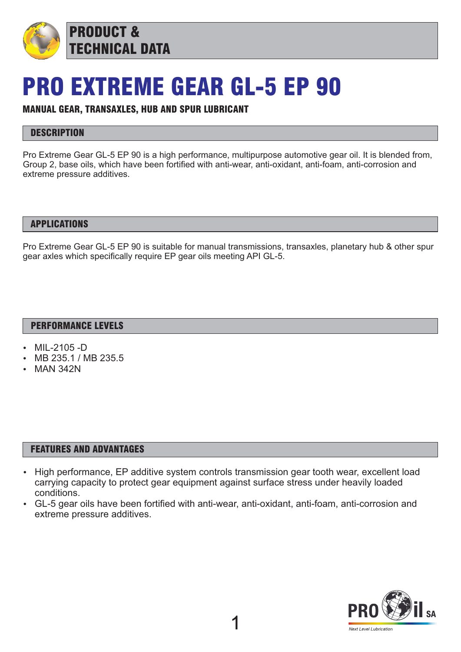

# PRO EXTREME GEAR GL-5 EP 90

## MANUAL GEAR, TRANSAXLES, HUB AND SPUR LUBRICANT

## **DESCRIPTION**

Pro Extreme Gear GL-5 EP 90 is a high performance, multipurpose automotive gear oil. It is blended from, Group 2, base oils, which have been fortified with anti-wear, anti-oxidant, anti-foam, anti-corrosion and extreme pressure additives.

#### APPLICATIONS

Pro Extreme Gear GL-5 EP 90 is suitable for manual transmissions, transaxles, planetary hub & other spur gear axles which specifically require EP gear oils meeting API GL-5.

#### PERFORMANCE LEVELS

- MIL-2105 -D
- MB 235.1 / MB 235.5
- **MAN 342N**

#### FEATURES AND ADVANTAGES

- High performance, EP additive system controls transmission gear tooth wear, excellent load carrying capacity to protect gear equipment against surface stress under heavily loaded conditions.
- GL-5 gear oils have been fortified with anti-wear, anti-oxidant, anti-foam, anti-corrosion and extreme pressure additives.